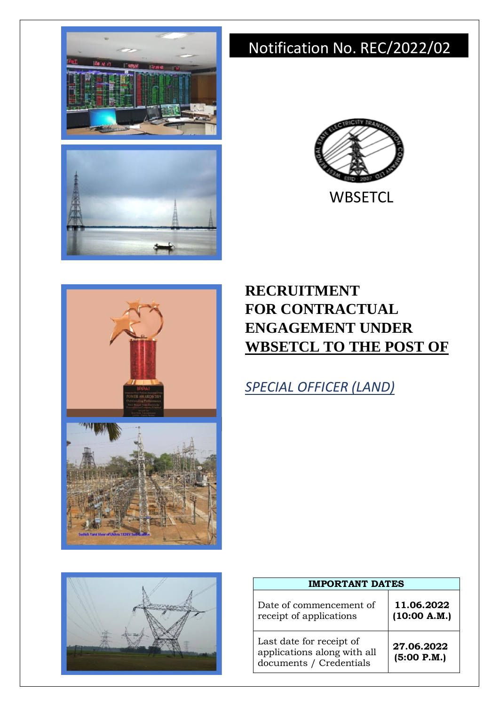

# Notification No. REC/2022/02



**WBSETCL** 



## **RECRUITMENT FOR CONTRACTUAL ENGAGEMENT UNDER WBSETCL TO THE POST OF**

*SPECIAL OFFICER (LAND)*



| <b>IMPORTANT DATES</b>                                                             |                            |  |  |
|------------------------------------------------------------------------------------|----------------------------|--|--|
| Date of commencement of<br>receipt of applications                                 | 11.06.2022<br>(10:00 A.M.) |  |  |
| Last date for receipt of<br>applications along with all<br>documents / Credentials | 27.06.2022<br>(5:00 P.M.)  |  |  |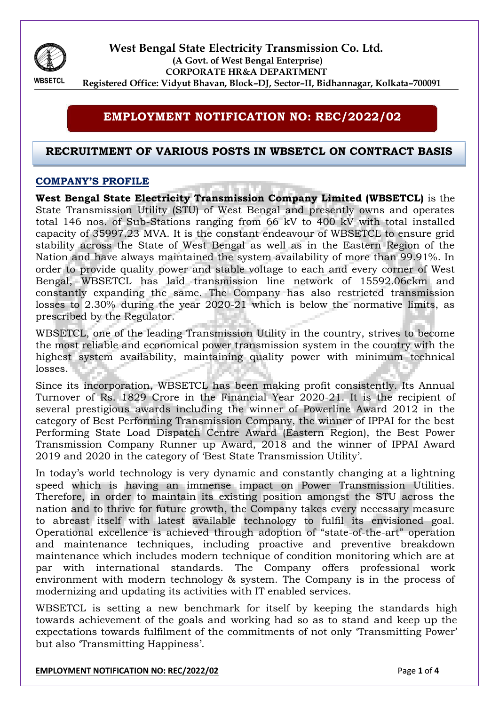

**West Bengal State Electricity Transmission Co. Ltd. (A Govt. of West Bengal Enterprise) CORPORATE HR&A DEPARTMENT Registered Office: Vidyut Bhavan, Block–DJ, Sector–II, Bidhannagar, Kolkata–700091**

**WBSETCL** 

## **EMPLOYMENT NOTIFICATION NO: REC/2022/02**

## **RECRUITMENT OF VARIOUS POSTS IN WBSETCL ON CONTRACT BASIS**

### **COMPANY'S PROFILE**

**West Bengal State Electricity Transmission Company Limited (WBSETCL)** is the State Transmission Utility (STU) of West Bengal and presently owns and operates total 146 nos. of Sub-Stations ranging from 66 kV to 400 kV with total installed capacity of 35997.23 MVA. It is the constant endeavour of WBSETCL to ensure grid stability across the State of West Bengal as well as in the Eastern Region of the Nation and have always maintained the system availability of more than 99.91%. In order to provide quality power and stable voltage to each and every corner of West Bengal, WBSETCL has laid transmission line network of 15592.06ckm and constantly expanding the same. The Company has also restricted transmission losses to 2.30% during the year 2020-21 which is below the normative limits, as prescribed by the Regulator.

WBSETCL, one of the leading Transmission Utility in the country, strives to become the most reliable and economical power transmission system in the country with the highest system availability, maintaining quality power with minimum technical losses.

Since its incorporation, WBSETCL has been making profit consistently. Its Annual Turnover of Rs. 1829 Crore in the Financial Year 2020-21. It is the recipient of several prestigious awards including the winner of Powerline Award 2012 in the category of Best Performing Transmission Company, the winner of IPPAI for the best Performing State Load Dispatch Centre Award (Eastern Region), the Best Power Transmission Company Runner up Award, 2018 and the winner of IPPAI Award 2019 and 2020 in the category of 'Best State Transmission Utility'.

In today's world technology is very dynamic and constantly changing at a lightning speed which is having an immense impact on Power Transmission Utilities. Therefore, in order to maintain its existing position amongst the STU across the nation and to thrive for future growth, the Company takes every necessary measure to abreast itself with latest available technology to fulfil its envisioned goal. Operational excellence is achieved through adoption of "state-of-the-art" operation and maintenance techniques, including proactive and preventive breakdown maintenance which includes modern technique of condition monitoring which are at par with international standards. The Company offers professional work environment with modern technology & system. The Company is in the process of modernizing and updating its activities with IT enabled services.

WBSETCL is setting a new benchmark for itself by keeping the standards high towards achievement of the goals and working had so as to stand and keep up the expectations towards fulfilment of the commitments of not only 'Transmitting Power' but also 'Transmitting Happiness'.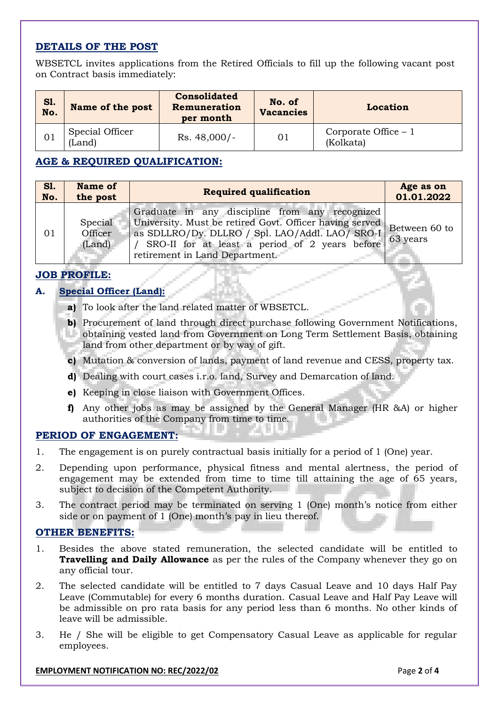## **DETAILS OF THE POST**

WBSETCL invites applications from the Retired Officials to fill up the following vacant post on Contract basis immediately:

| Sl.<br>No. | Name of the post          | <b>Consolidated</b><br>Remuneration<br>per month | No. of<br><b>Vacancies</b> | Location                           |
|------------|---------------------------|--------------------------------------------------|----------------------------|------------------------------------|
| 01         | Special Officer<br>(Land) | $Rs. 48,000/-$                                   | 01                         | Corporate Office $-1$<br>(Kolkata) |

## **AGE & REQUIRED QUALIFICATION:**

| SI. | <b>Name of</b>               | <b>Required qualification</b>                                                                                                                                                                                                                    | Age as on                 |
|-----|------------------------------|--------------------------------------------------------------------------------------------------------------------------------------------------------------------------------------------------------------------------------------------------|---------------------------|
| No. | the post                     |                                                                                                                                                                                                                                                  | 01.01.2022                |
| 01  | Special<br>Officer<br>(Land) | Graduate in any discipline from any recognized<br>University. Must be retired Govt. Officer having served<br>as SDLLRO/Dy. DLLRO / Spl. LAO/Addl. LAO/ SRO-I<br>SRO-II for at least a period of 2 years before<br>retirement in Land Department. | Between 60 to<br>63 years |

## **JOB PROFILE:**

## **A. Special Officer (Land):**

- **a)** To look after the land related matter of WBSETCL.
- **b)** Procurement of land through direct purchase following Government Notifications, obtaining vested land from Government on Long Term Settlement Basis, obtaining land from other department or by way of gift.
- **c)** Mutation & conversion of lands, payment of land revenue and CESS, property tax.
- **d)** Dealing with court cases i.r.o. land, Survey and Demarcation of land.
- **e)** Keeping in close liaison with Government Offices.
- **f)** Any other jobs as may be assigned by the General Manager (HR &A) or higher authorities of the Company from time to time.

#### **PERIOD OF ENGAGEMENT:**

- 1. The engagement is on purely contractual basis initially for a period of 1 (One) year.
- 2. Depending upon performance, physical fitness and mental alertness, the period of engagement may be extended from time to time till attaining the age of 65 years, subject to decision of the Competent Authority.
- 3. The contract period may be terminated on serving 1 (One) month's notice from either side or on payment of 1 (One) month's pay in lieu thereof.

## **OTHER BENEFITS:**

- 1. Besides the above stated remuneration, the selected candidate will be entitled to **Travelling and Daily Allowance** as per the rules of the Company whenever they go on any official tour.
- 2. The selected candidate will be entitled to 7 days Casual Leave and 10 days Half Pay Leave (Commutable) for every 6 months duration. Casual Leave and Half Pay Leave will be admissible on pro rata basis for any period less than 6 months. No other kinds of leave will be admissible.
- 3. He / She will be eligible to get Compensatory Casual Leave as applicable for regular employees.

#### **EMPLOYMENT NOTIFICATION NO: REC/2022/02 Page 2** of 4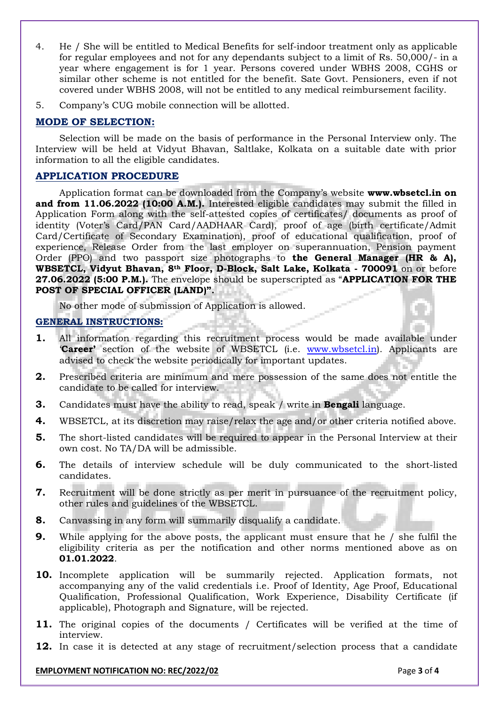- 4. He / She will be entitled to Medical Benefits for self-indoor treatment only as applicable for regular employees and not for any dependants subject to a limit of Rs. 50,000/- in a year where engagement is for 1 year. Persons covered under WBHS 2008, CGHS or similar other scheme is not entitled for the benefit. Sate Govt. Pensioners, even if not covered under WBHS 2008, will not be entitled to any medical reimbursement facility.
- 5. Company's CUG mobile connection will be allotted.

## **MODE OF SELECTION:**

Selection will be made on the basis of performance in the Personal Interview only*.* The Interview will be held at Vidyut Bhavan, Saltlake, Kolkata on a suitable date with prior information to all the eligible candidates.

## **APPLICATION PROCEDURE**

Application format can be downloaded from the Company's website **www.wbsetcl.in on and from 11.06.2022 (10:00 A.M.).** Interested eligible candidates may submit the filled in Application Form along with the self-attested copies of certificates/ documents as proof of identity (Voter's Card/PAN Card/AADHAAR Card), proof of age (birth certificate/Admit Card/Certificate of Secondary Examination), proof of educational qualification, proof of experience, Release Order from the last employer on superannuation, Pension payment Order (PPO) and two passport size photographs to **the General Manager (HR & A), WBSETCL, Vidyut Bhavan, 8th Floor, D-Block, Salt Lake, Kolkata - 700091** on or before **27.06.2022 (5:00 P.M.).** The envelope should be superscripted as "**APPLICATION FOR THE POST OF SPECIAL OFFICER (LAND)".**

No other mode of submission of Application is allowed.

## **GENERAL INSTRUCTIONS:**

- **1.** All information regarding this recruitment process would be made available under '**Career'** section of the website of WBSETCL (i.e. [www.wbsetcl.in\)](http://www.wbsetcl.in/). Applicants are advised to check the website periodically for important updates.
- **2.** Prescribed criteria are minimum and mere possession of the same does not entitle the candidate to be called for interview.
- **3.** Candidates must have the ability to read, speak / write in **Bengali** language.
- **4.** WBSETCL, at its discretion may raise/relax the age and/or other criteria notified above.
- **5.** The short-listed candidates will be required to appear in the Personal Interview at their own cost. No TA/DA will be admissible.
- **6.** The details of interview schedule will be duly communicated to the short-listed candidates.
- **7.** Recruitment will be done strictly as per merit in pursuance of the recruitment policy, other rules and guidelines of the WBSETCL.
- **8.** Canvassing in any form will summarily disqualify a candidate.
- **9.** While applying for the above posts, the applicant must ensure that he / she fulfil the eligibility criteria as per the notification and other norms mentioned above as on **01.01.2022**.
- **10.** Incomplete application will be summarily rejected. Application formats, not accompanying any of the valid credentials i.e. Proof of Identity, Age Proof, Educational Qualification, Professional Qualification, Work Experience, Disability Certificate (if applicable), Photograph and Signature, will be rejected.
- **11.** The original copies of the documents / Certificates will be verified at the time of interview.
- **12.** In case it is detected at any stage of recruitment/selection process that a candidate

#### **EMPLOYMENT NOTIFICATION NO: REC/2022/02 Page 1 of 4 Page 3 of 4**